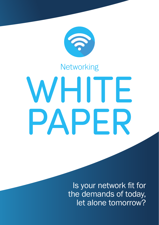

# **Networking**

# WHITE PAPER

Is your network fit for the demands of today, let alone tomorrow?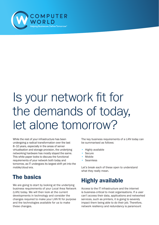

# Is your network fit for the demands of today, let alone tomorrow?

While the rest of your infrastructure has been undergoing a radical transformation over the last 8–10 years, especially in the areas of server virtualisation and storage provision, the underlying networking hardware has mostly stayed the same. This white paper looks to discuss the functional requirements of your network both today and tomorrow, as IT undergoes its largest shift yet into the mobile/cloud era.

# The basics

We are going to start by looking at the underlying business requirements of your Local Area Network (LAN) today. We will then look at the current developments in technology and consider the changes required to make your LAN fit for purpose and the technologies available for us to make these changes.

The key business requirements of a LAN today can be summarised as follows:

- Highly available
- **Secure**
- Mobile
- Seamless

Let's break each of these open to understand what they really mean.

# Highly available

Access to the IT infrastructure and the internet is business-critical to most organisations. If a user can't access their data, applications and networked services, such as printers, it is going to severely impact them being able to do their job. Therefore, network resiliency and redundancy is paramount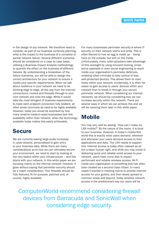in the design of any network. We therefore need to consider, as part of our business continuity planning, what is the impact to the business of a complete or partial network failure. Several different scenarios should be considered on a case by case basis, utilising a Business Impact Analysis methodology to quantify the effect on the business of different failures. By understanding a breakdown of the failure scenarios, you will be able to design the correct architecture for your network to ensure it meets your specific requirements. When we talk about resilience in your network we need to be thinking edge to edge, all the way from the internet connections, routers and firewalls through to your core network and onto the edge. While it would take the most stringent of business requirements to make each endpoint connection fully resilient, all other areas commonly do need to be highly available. However, today you would be surprised by how many small-to-medium-sized businesses lack this availability within their network, when the technology available today makes this easily achievable.

### Secure

We are currently seeing large-scale increases in cyber-attacks, personalised to gain entry to your business data. While there are many considerations as to how we can ultimately secure your environment, we need to start by looking at the very basics within your infrastructure – and this starts with your network. In this white paper we are focusing mainly on the internal network; however, it goes without saying that perimeter security should be a major consideration. Your firewalls should be fully featured, fit for purpose, patched and, of course, highly available.

For many businesses perimeter security is where IT security on their network starts and ends. This is often likened to how an egg is made up – being hard on the outside, but soft on the inside. Unfortunately, many cyber-attackers take advantage of this oversight by using innocent-looking, emailborne payloads or even social engineering to reach inside your organisation's perimeter defences, enabling cyber-criminals to take control of less well-protected devices. This allows them to roam freely within your network. Incidentally, it is often far easier to gain access to users' devices within your network than to break in through your secure perimeter network. When considering our internal networks, we should be considering how we can increase security within the network. There are several ways in which we can achieve this and we will be covering them later in this white paper.

### Mobile

You may very well be asking: "How can I make my LAN mobile?" By the nature of the name, it is local to your business. However, in today's mobile-first world this is exactly what users demand, wherever and whenever your users demand access to their applications and data. The LAN needs to support this. Internet access is today often classed as all but a basic human right, and while you may invest in delivering quick and reliable wired access to your network, users have come also to expect performant and reliable wireless access. Wi-Fi inside your organisation is something that has often been treated as a second-class citizen. In many cases it started in meeting rooms to provide internet access for your guests, and then slowly spread to common areas and beyond. Today wireless network access is the predominant way our users will be

ComputerWorld recommend considering firewall devices from Barracuda and SonicWall when considering edge security.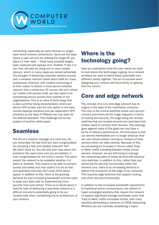

connecting, especially as many devices no longer have wired network connections. Gone are the days where a user will only be utilising the single PC you place on their desk – these have probably largely been replaced with laptops and, whether IT like it or not, they will also be using one or more mobile devices, which in many cases are owned personally. The thought of delivering corporate network access over a wireless network raises alarm bells for many businesses. However, with modern technology it is often easier to deliver a more secure wireless network than a wired one. Of course, this isn't where our mobile LAN access ends: we also need to be considering secure access from outside of our organisations. This is an area of technology that is also currently being revolutionised, where per device VPN access was the only option in the past, remote desktop solutions and per application VPN solutions by the likes of VMware are now seen as the defined standard. This challenge will be the subject of another white paper.

# **Seamless**

The life of a network manager is a hard one. Do you remember the last time you were congratulated for providing a fast and reliable network? No? We didn't think so. You will only ever hear about the problems the users have and you are seldom, if ever, congratulated for the times it works. The users expect the network to be available whether it is wired or wireless. They expect to be able to connect quickly and easily and they expect it to be so fast and seamless that they don't even think about speed. In addition to this, there is the growing demand for ever-increasing bandwidth and the need to keep your data safe by implementing more security than ever before. There is no doubt about it that the task of delivering a seamless network is a difficult one and is potentially going to be our hardest task when considering the re-architecture of your network.

# Where is the technology going?

Now we understand what the user wants we need to look where the technology is going. As a network architect we need to blend these potentially very different needs together. The art of success when designing your network will focus firmly on getting this mix correct.

## Core and edge network

The concept of a core and edge network has its origins in the days of the mainframe computer. The core is the central switches where your servers connect and where all the magic happens in terms of routing and security, the edge being the remote switches that are located around your premises that enable users to connect their devices. This topology goes against many of the goals we may have in terms of delivery performance. The first issue is that our servers themselves are no longer physical: they are now virtual entities running on clusters of host servers within our data centres. Because of this we are seeing an increase in the so-called 'East to West' traffic travelling between these virtual servers. However, we are still trying to manage the networking tasks of these servers with physical core switches. In addition to this, rather than just delivering the security functionality within the network core, there is an increasing demand to deliver this protection at the edge of our networks. This requires edge switches that support routing and other security functionality.

In addition to the increased bandwidth requirement of traditional server environments, the advent of hyper-converged solutions that require the network to support significant storage workloads mean that 'East to West' traffic increases further, with many solutions demanding a minimum of 10GB networking. Whether you are currently considering a hyper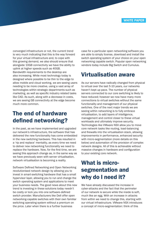converged infrastructure or not, the current trend is very much indicating that this is the way forward for your virtual infrastructure and, to cope with this growing demand, we also should ensure that alongside 10GB connectivity we have the ability to uplink at higher speeds such as 40GB. Bandwidth requirements to the desktop are also increasing. While most technology today is designed where possible to be thin to the edge to allow mobile and cloud working, we are seeing users needing to be more creative, using a vast array of technologies within strategic departments such as marketing, as well as specific industry related tasks like CAD. As such, along with a decrease in costs, we are seeing GB connectivity at the edge become much more common.

### The end of hardware defined networking?

In the past, as we have implemented and upgraded our network's infrastructure, the software that has delivered the new functionality has come embedded in the new switching hardware. This has resulted in a 'rip and replace' mentality, as every time we need to deliver new networking functionality we need to replace the hardware. Now, for the first time, we are seeing this approach change as, in the same way as we have previously seen with server virtualisation, network virtualisation is becoming a reality.

Software Defined Networking and Open Networking revolutionised network design by allowing you to invest in smart-switching hardware that has a small hypervisor layer, allowing you to run and change the switch operating system and applications to meet your business needs. The good news about this new trend is investing in these solutions today needn't be costly or lock you into one software-defined switch provider. Manufacturers like Dell offer open networking-capable switches with their own familiar switching operating system without a premium on the price. Later when there is a further business

case for a particular open networking software you are able to simply license, download and install the switch operating system of your choice on your open networking capable switch. Popular open networking vendors today include Big Switch and Cumulus.

### Virtualisation aware

As our servers have radically changed from physical to virtual over the last 5-10 years, our networks haven't kept up pace. The number of physical servers connected to our core switching is likely to have reduced; however we now have many more connections to virtual switches without the same functionality and management of our physical switches. One of the next major trends we are seeing within networking is to fully embrace virtualisation, to add layers of intelligence, management and control closer to these virtual workloads and ultimately improve security. Technologies like VMware NSX allow you to move core network tasks like routing, load-balancing and firewalls into the virtualisation stack, allowing improvements in performance, enhanced security with micro-segmentation (more details on this below) and automation of the provision of complex network designs. All of this is achievable without massive changes in hardware and configuration to your existing core network.

# What is microsegmentation and why do I need it?

We have already discussed the increase in cyber-attacks and the fact that the perimeter of our network is secure while the inside is soft, much like an egg. With an increase in attacks from within we need to change this, starting with our virtual infrastructure. VMware NSX introduces a concept of micro-segmentation: think of this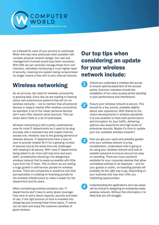

as a firewall for each of your servers or workloads. While this may have previously been possible with complex physical network design, the cost and management involved would have been excessive. With NSX we can centrally manage these from one interface: ultimately introducing a much tighter layer of security, meaning one system being compromised no longer means a free rein to your internal network.

# Wireless networking

As we all know, the need for wireless connectivity is growing daily. Every day we are reading or hearing about new autonomous systems that will run on wireless networks – not to mention that all personal devices in today's market offer wireless connectivity as standard. A lot of the newer personal devices don't even offer network ports anymore. This can mean alarm bells to a lot of businesses.

Wireless networking is still a pretty undertrained area for most IT departments as it used to be plug and play with a standard key and maybe internet access only. However, due to the growing demand of wireless devices, IT departments have a duty of care to provide reliable Wi-Fi for a growing number of devices and at the same time are challenged with keeping it all secure. With most IT departments being asked to do more with less time and even staff, consideration should go into designing a wireless network that is easily accessible with little input from the IT team. This is where we are seeing a huge growth in self-service portals for wireless access. There are companies in existence now that just specialise in creating on-boarding portals for the wireless infrastructure to make it easier for the department and its users.

When considering wireless solutions now, IT departments don't have to worry about coverage: they have to worry about capacity, security and ease of use. If the right amount of time is invested into designing and covering those three topics, IT teams can sit back and enjoy the customer paradise of good wireless.

# Our top tips when considering an update for your wireless network include:

- Ensure you undertake a wireless site survey F) to ensure optimal placement of the access points. Common mistakes include the installation of too many access points resulting in poor performance and interference.
- Ensure your wireless network is secure. This  $\overline{\mathbf{2}}$ should be a key priority, probably slightly above user experience. With thanks to the recent developments in wireless standards it is now possible to have both performance and encryption for your traffic, delivering optimal user experience and high levels of enterprise security. Maybe it's time to update your old, outdated wireless network?
- How you get your users and possibly guests  $\mathbf{3}$ onto your wireless network is a big consideration. Understand who is going to be using your wireless network and look at suitable solutions to ensure secure but easy on-boarding. There are many solutions available for your corporate devices that allow centralised policies to be deployed – and for your guests or public, on-boarding portals will probably be the right way to go. Depending on your business this may even offer you marketing opportunities.
- Understanding the applications and use cases  $\overline{\mathbf{4}}$ will be critical to designing an enterprise-ready wireless network. Without this information, it is likely that you will struggle.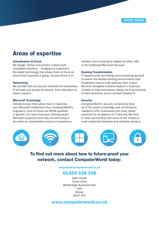### Areas of expertise

### Virtualisation & Cloud

We design, deliver and protect custom-built virtualised solutions – bringing our customers the latest technology that allows them to focus on where their business is going, not just where it is!

### Networking

We provide fast and secure networks for enterprises of all sizes and across all sectors, from education to heavy industry.

### Microsoft Technology

Nobody knows more about how to maximise your Microsoft investment than ComputerWorld's engineers, most of which are MCSE-qualified or greater. Our team has been offering expert Microsoft solutions since day one and bring to the table an unparalleled amount of experience,

whether you're looking to migrate to Office 365 or for traditional Microsoft services.

### Desktop Transformation

IT departments are finding ever-increasing demand to deliver the flexible working environments their employees need to fully optimise their output. We work alongside industry leaders in business mobility to help businesses realise the true potential of their workforce and to combat Shadow IT.

### **Security**

ComputerWorld's security consultants have all of the expert knowledge and certifications needed to offer businesses the most robust solutions for all aspects of IT security. We work in close partnership with some of the industry's most respected hardware and software vendors.



### To find out more about how to future-proof your network, contact ComputerWorld today:

### enquiries@computerworld.co.uk

### 01454 338 338

Apex House Turner Drive Westerleigh Business Park Yate Bristol BS37 5YX

### www.computerworld.co.uk